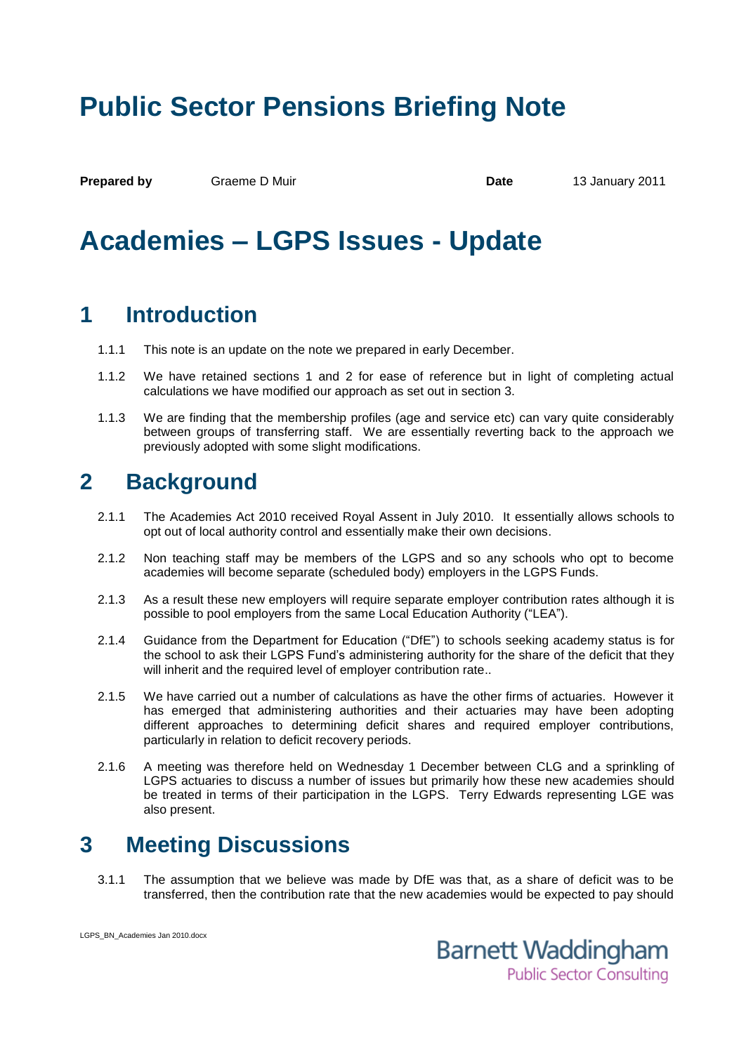# **Public Sector Pensions Briefing Note**

**Prepared by** Graeme D Muir **Date Date** 13 January 2011

## **Academies – LGPS Issues - Update**

### **1 Introduction**

- 1.1.1 This note is an update on the note we prepared in early December.
- 1.1.2 We have retained sections 1 and 2 for ease of reference but in light of completing actual calculations we have modified our approach as set out in section 3.
- 1.1.3 We are finding that the membership profiles (age and service etc) can vary quite considerably between groups of transferring staff. We are essentially reverting back to the approach we previously adopted with some slight modifications.

#### **2 Background**

- 2.1.1 The Academies Act 2010 received Royal Assent in July 2010. It essentially allows schools to opt out of local authority control and essentially make their own decisions.
- 2.1.2 Non teaching staff may be members of the LGPS and so any schools who opt to become academies will become separate (scheduled body) employers in the LGPS Funds.
- 2.1.3 As a result these new employers will require separate employer contribution rates although it is possible to pool employers from the same Local Education Authority ("LEA").
- 2.1.4 Guidance from the Department for Education ("DfE") to schools seeking academy status is for the school to ask their LGPS Fund's administering authority for the share of the deficit that they will inherit and the required level of employer contribution rate..
- 2.1.5 We have carried out a number of calculations as have the other firms of actuaries. However it has emerged that administering authorities and their actuaries may have been adopting different approaches to determining deficit shares and required employer contributions, particularly in relation to deficit recovery periods.
- 2.1.6 A meeting was therefore held on Wednesday 1 December between CLG and a sprinkling of LGPS actuaries to discuss a number of issues but primarily how these new academies should be treated in terms of their participation in the LGPS. Terry Edwards representing LGE was also present.

### **3 Meeting Discussions**

3.1.1 The assumption that we believe was made by DfE was that, as a share of deficit was to be transferred, then the contribution rate that the new academies would be expected to pay should



LGPS\_BN\_Academies Jan 2010.docx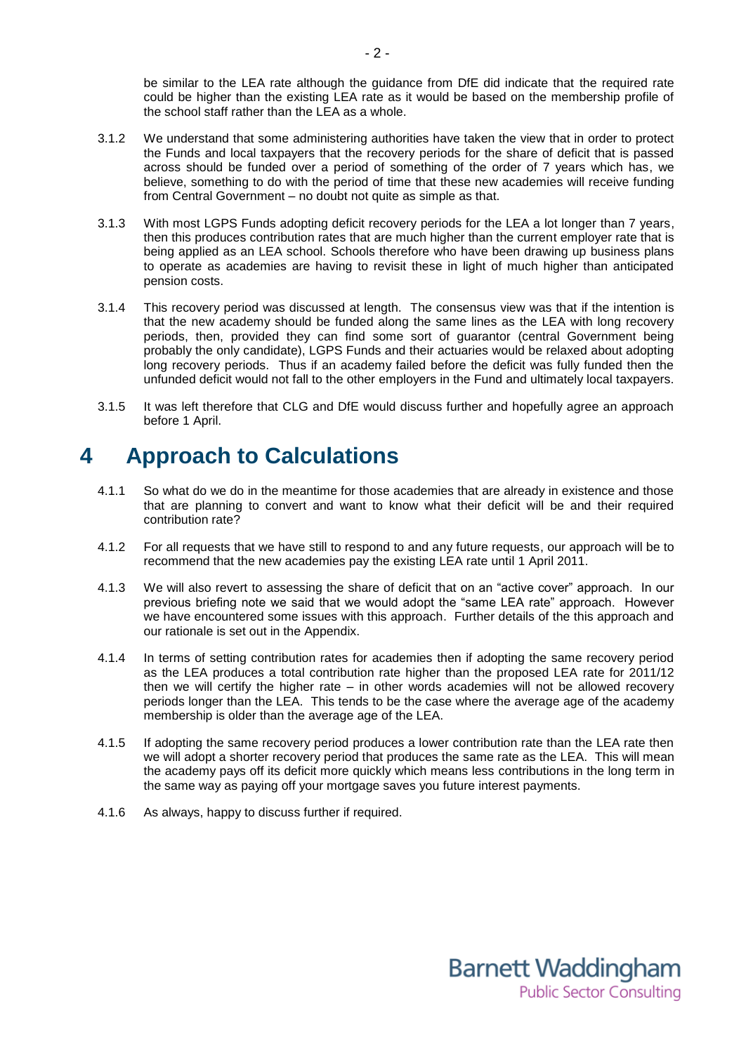be similar to the LEA rate although the guidance from DfE did indicate that the required rate could be higher than the existing LEA rate as it would be based on the membership profile of the school staff rather than the LEA as a whole.

- 3.1.2 We understand that some administering authorities have taken the view that in order to protect the Funds and local taxpayers that the recovery periods for the share of deficit that is passed across should be funded over a period of something of the order of 7 years which has, we believe, something to do with the period of time that these new academies will receive funding from Central Government – no doubt not quite as simple as that.
- 3.1.3 With most LGPS Funds adopting deficit recovery periods for the LEA a lot longer than 7 years, then this produces contribution rates that are much higher than the current employer rate that is being applied as an LEA school. Schools therefore who have been drawing up business plans to operate as academies are having to revisit these in light of much higher than anticipated pension costs.
- 3.1.4 This recovery period was discussed at length. The consensus view was that if the intention is that the new academy should be funded along the same lines as the LEA with long recovery periods, then, provided they can find some sort of guarantor (central Government being probably the only candidate), LGPS Funds and their actuaries would be relaxed about adopting long recovery periods. Thus if an academy failed before the deficit was fully funded then the unfunded deficit would not fall to the other employers in the Fund and ultimately local taxpayers.
- 3.1.5 It was left therefore that CLG and DfE would discuss further and hopefully agree an approach before 1 April.

#### **4 Approach to Calculations**

- 4.1.1 So what do we do in the meantime for those academies that are already in existence and those that are planning to convert and want to know what their deficit will be and their required contribution rate?
- 4.1.2 For all requests that we have still to respond to and any future requests, our approach will be to recommend that the new academies pay the existing LEA rate until 1 April 2011.
- 4.1.3 We will also revert to assessing the share of deficit that on an "active cover" approach. In our previous briefing note we said that we would adopt the "same LEA rate" approach. However we have encountered some issues with this approach. Further details of the this approach and our rationale is set out in the Appendix.
- 4.1.4 In terms of setting contribution rates for academies then if adopting the same recovery period as the LEA produces a total contribution rate higher than the proposed LEA rate for 2011/12 then we will certify the higher rate – in other words academies will not be allowed recovery periods longer than the LEA. This tends to be the case where the average age of the academy membership is older than the average age of the LEA.
- 4.1.5 If adopting the same recovery period produces a lower contribution rate than the LEA rate then we will adopt a shorter recovery period that produces the same rate as the LEA. This will mean the academy pays off its deficit more quickly which means less contributions in the long term in the same way as paying off your mortgage saves you future interest payments.
- 4.1.6 As always, happy to discuss further if required.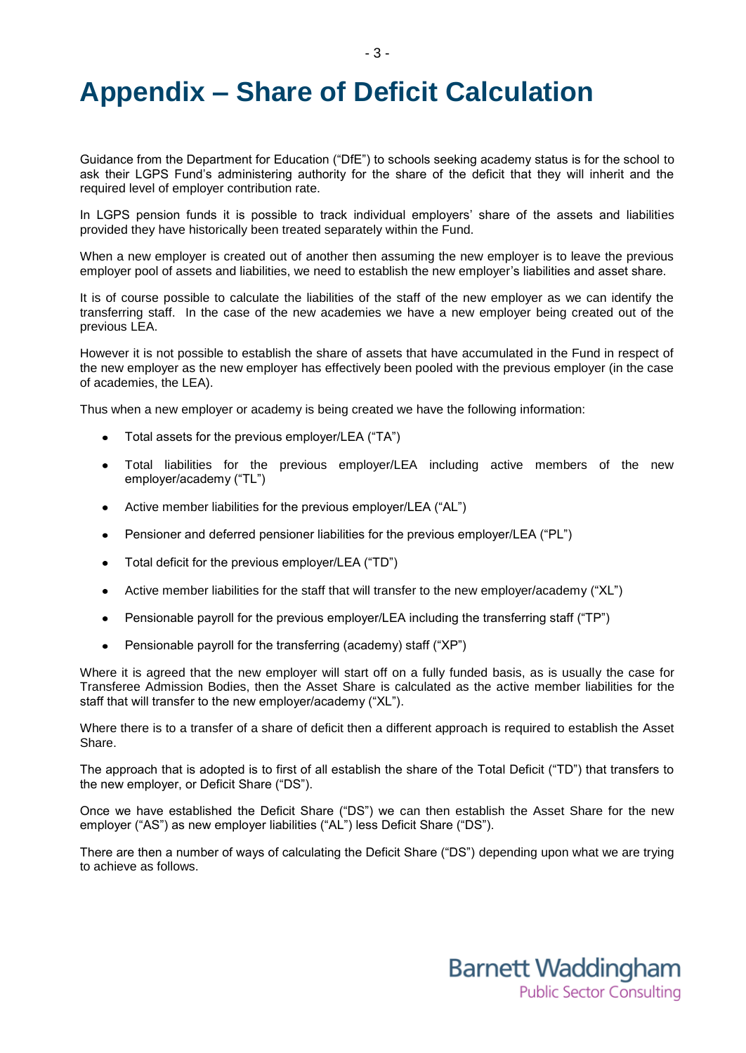## **Appendix – Share of Deficit Calculation**

Guidance from the Department for Education ("DfE") to schools seeking academy status is for the school to ask their LGPS Fund's administering authority for the share of the deficit that they will inherit and the required level of employer contribution rate.

- 3 -

In LGPS pension funds it is possible to track individual employers' share of the assets and liabilities provided they have historically been treated separately within the Fund.

When a new employer is created out of another then assuming the new employer is to leave the previous employer pool of assets and liabilities, we need to establish the new employer's liabilities and asset share.

It is of course possible to calculate the liabilities of the staff of the new employer as we can identify the transferring staff. In the case of the new academies we have a new employer being created out of the previous LEA.

However it is not possible to establish the share of assets that have accumulated in the Fund in respect of the new employer as the new employer has effectively been pooled with the previous employer (in the case of academies, the LEA).

Thus when a new employer or academy is being created we have the following information:

- Total assets for the previous employer/LEA ("TA")
- Total liabilities for the previous employer/LEA including active members of the new employer/academy ("TL")
- Active member liabilities for the previous employer/LEA ("AL")
- Pensioner and deferred pensioner liabilities for the previous employer/LEA ("PL")
- Total deficit for the previous employer/LEA ("TD")  $\bullet$
- Active member liabilities for the staff that will transfer to the new employer/academy ("XL")
- Pensionable payroll for the previous employer/LEA including the transferring staff ("TP")  $\bullet$
- Pensionable payroll for the transferring (academy) staff ("XP")

Where it is agreed that the new employer will start off on a fully funded basis, as is usually the case for Transferee Admission Bodies, then the Asset Share is calculated as the active member liabilities for the staff that will transfer to the new employer/academy ("XL").

Where there is to a transfer of a share of deficit then a different approach is required to establish the Asset Share.

The approach that is adopted is to first of all establish the share of the Total Deficit ("TD") that transfers to the new employer, or Deficit Share ("DS").

Once we have established the Deficit Share ("DS") we can then establish the Asset Share for the new employer ("AS") as new employer liabilities ("AL") less Deficit Share ("DS").

There are then a number of ways of calculating the Deficit Share ("DS") depending upon what we are trying to achieve as follows.